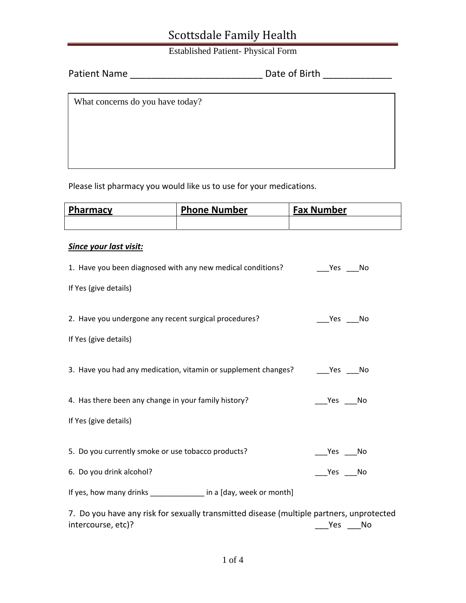Established Patient- Physical Form

| <b>Patient Name</b> |  | Date of Birth |
|---------------------|--|---------------|
|---------------------|--|---------------|

What concerns do you have today?

Please list pharmacy you would like us to use for your medications.

| Pharmacy | <b>Phone Number</b> | <b>Fax Number</b> |
|----------|---------------------|-------------------|
|          |                     |                   |

### *Since your last visit:*

| 1. Have you been diagnosed with any new medical conditions?                                                    | Yes No      |
|----------------------------------------------------------------------------------------------------------------|-------------|
| If Yes (give details)                                                                                          |             |
| 2. Have you undergone any recent surgical procedures?                                                          | Yes No      |
| If Yes (give details)                                                                                          |             |
| 3. Have you had any medication, vitamin or supplement changes?                                                 | Yes<br>- No |
| 4. Has there been any change in your family history?                                                           | Yes No      |
| If Yes (give details)                                                                                          |             |
| 5. Do you currently smoke or use tobacco products?                                                             | Yes<br>No   |
| 6. Do you drink alcohol?                                                                                       | Yes No      |
| If yes, how many drinks _____________ in a [day, week or month]                                                |             |
| 7. Do you have any risk for sexually transmitted disease (multiple partners, unprotected<br>intercourse, etc)? | No<br>Yes   |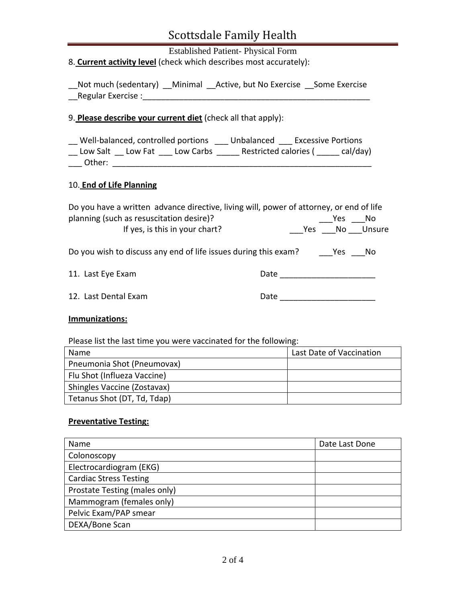Established Patient- Physical Form 8. **Current activity level** (check which describes most accurately):

|                    | Not much (sedentary) Minimal Active, but No Exercise Some Exercise |  |
|--------------------|--------------------------------------------------------------------|--|
| Regular Exercise : |                                                                    |  |

#### 9. **Please describe your current diet** (check all that apply):

\_\_ Well‐balanced, controlled portions \_\_\_ Unbalanced \_\_\_ Excessive Portions \_\_ Low Salt \_\_ Low Fat \_\_\_ Low Carbs \_\_\_\_\_ Restricted calories ( \_\_\_\_\_ cal/day) \_\_\_ Other: \_\_\_\_\_\_\_\_\_\_\_\_\_\_\_\_\_\_\_\_\_\_\_\_\_\_\_\_\_\_\_\_\_\_\_\_\_\_\_\_\_\_\_\_\_\_\_\_\_\_\_\_\_\_\_\_\_

#### 10. **End of Life Planning**

| Do you have a written advance directive, living will, power of attorney, or end of life |      |        |               |
|-----------------------------------------------------------------------------------------|------|--------|---------------|
| planning (such as resuscitation desire)?                                                |      | Yes    | - No          |
| If yes, is this in your chart?                                                          |      |        | Ves No Unsure |
| Do you wish to discuss any end of life issues during this exam?                         |      | Yes No |               |
| 11. Last Eye Exam                                                                       | Date |        |               |
|                                                                                         |      |        |               |

12. Last Dental Exam **Date Date Date Date Date Date Date Date Date Date Date D** 

### **Immunizations:**

Please list the last time you were vaccinated for the following:

| Name                        | Last Date of Vaccination |
|-----------------------------|--------------------------|
| Pneumonia Shot (Pneumovax)  |                          |
| Flu Shot (Influeza Vaccine) |                          |
| Shingles Vaccine (Zostavax) |                          |
| Tetanus Shot (DT, Td, Tdap) |                          |

### **Preventative Testing:**

| Name                          | Date Last Done |  |
|-------------------------------|----------------|--|
| Colonoscopy                   |                |  |
| Electrocardiogram (EKG)       |                |  |
| <b>Cardiac Stress Testing</b> |                |  |
| Prostate Testing (males only) |                |  |
| Mammogram (females only)      |                |  |
| Pelvic Exam/PAP smear         |                |  |
| DEXA/Bone Scan                |                |  |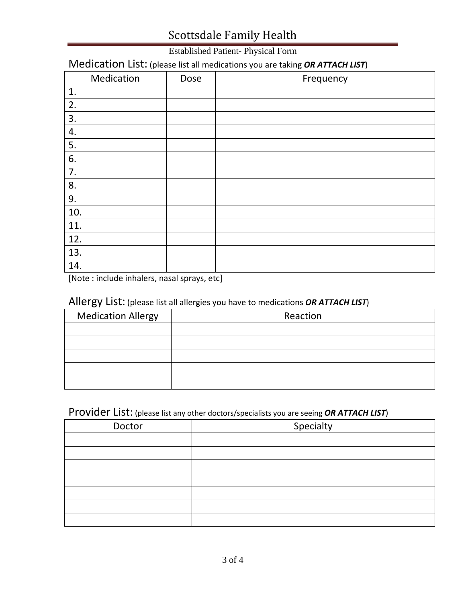## Established Patient- Physical Form

# Medication List: (please list all medications you are taking *OR ATTACH LIST*)

| Medication | Dose | Frequency |
|------------|------|-----------|
| 1.         |      |           |
| 2.         |      |           |
| 3.         |      |           |
| 4.         |      |           |
| 5.         |      |           |
| 6.         |      |           |
| 7.         |      |           |
| 8.         |      |           |
| 9.         |      |           |
| 10.        |      |           |
| 11.        |      |           |
| 12.        |      |           |
| 13.        |      |           |
| 14.        |      |           |

[Note : include inhalers, nasal sprays, etc]

### Allergy List: (please list all allergies you have to medications *OR ATTACH LIST*)

| <b>Medication Allergy</b> | Reaction |
|---------------------------|----------|
|                           |          |
|                           |          |
|                           |          |
|                           |          |
|                           |          |

## Provider List: (please list any other doctors/specialists you are seeing *OR ATTACH LIST*)

| Doctor | Specialty |
|--------|-----------|
|        |           |
|        |           |
|        |           |
|        |           |
|        |           |
|        |           |
|        |           |